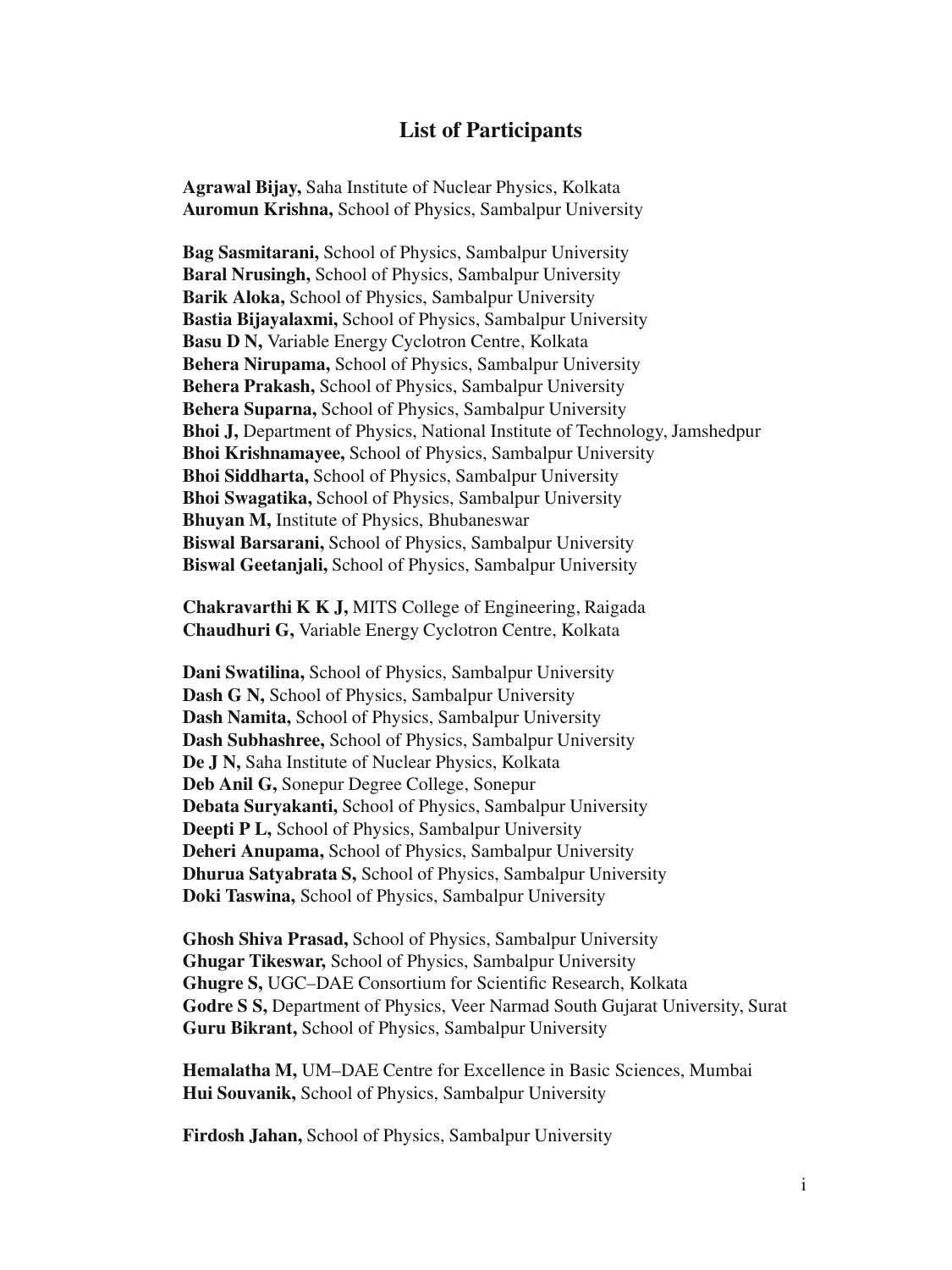## **List of Participants**

**Agrawal Bijay,** Saha Institute of Nuclear Physics, Kolkata **Auromun Krishna,** School of Physics, Sambalpur University

**Bag Sasmitarani,** School of Physics, Sambalpur University **Baral Nrusingh,** School of Physics, Sambalpur University **Barik Aloka,** School of Physics, Sambalpur University **Bastia Bijayalaxmi,** School of Physics, Sambalpur University **Basu D N,** Variable Energy Cyclotron Centre, Kolkata **Behera Nirupama,** School of Physics, Sambalpur University **Behera Prakash,** School of Physics, Sambalpur University **Behera Suparna,** School of Physics, Sambalpur University **Bhoi J,** Department of Physics, National Institute of Technology, Jamshedpur **Bhoi Krishnamayee,** School of Physics, Sambalpur University **Bhoi Siddharta,** School of Physics, Sambalpur University **Bhoi Swagatika,** School of Physics, Sambalpur University **Bhuyan M,** Institute of Physics, Bhubaneswar **Biswal Barsarani,** School of Physics, Sambalpur University **Biswal Geetanjali,** School of Physics, Sambalpur University

**Chakravarthi K K J,** MITS College of Engineering, Raigada **Chaudhuri G,** Variable Energy Cyclotron Centre, Kolkata

**Dani Swatilina,** School of Physics, Sambalpur University **Dash G N,** School of Physics, Sambalpur University **Dash Namita,** School of Physics, Sambalpur University **Dash Subhashree,** School of Physics, Sambalpur University **De J N,** Saha Institute of Nuclear Physics, Kolkata **Deb Anil G,** Sonepur Degree College, Sonepur **Debata Suryakanti,** School of Physics, Sambalpur University **Deepti P L,** School of Physics, Sambalpur University **Deheri Anupama,** School of Physics, Sambalpur University **Dhurua Satyabrata S,** School of Physics, Sambalpur University **Doki Taswina,** School of Physics, Sambalpur University

**Ghosh Shiva Prasad,** School of Physics, Sambalpur University **Ghugar Tikeswar,** School of Physics, Sambalpur University **Ghugre S,** UGC–DAE Consortium for Scientific Research, Kolkata **Godre S S,** Department of Physics, Veer Narmad South Gujarat University, Surat **Guru Bikrant,** School of Physics, Sambalpur University

**Hemalatha M,** UM–DAE Centre for Excellence in Basic Sciences, Mumbai **Hui Souvanik,** School of Physics, Sambalpur University

**Firdosh Jahan,** School of Physics, Sambalpur University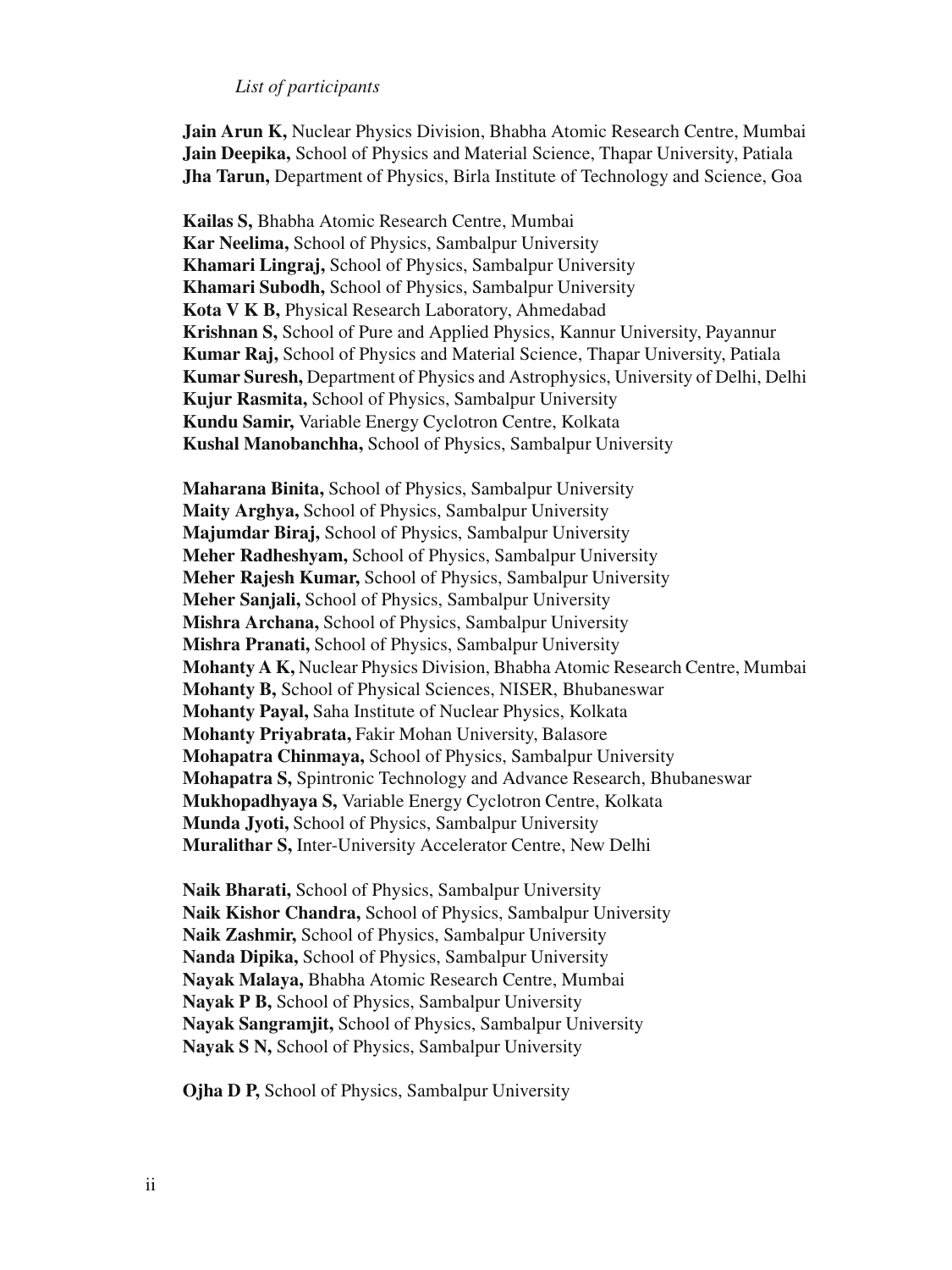## *List of participants*

**Jain Arun K,** Nuclear Physics Division, Bhabha Atomic Research Centre, Mumbai **Jain Deepika,** School of Physics and Material Science, Thapar University, Patiala **Jha Tarun,** Department of Physics, Birla Institute of Technology and Science, Goa

**Kailas S,** Bhabha Atomic Research Centre, Mumbai **Kar Neelima,** School of Physics, Sambalpur University **Khamari Lingraj,** School of Physics, Sambalpur University **Khamari Subodh,** School of Physics, Sambalpur University **Kota V K B,** Physical Research Laboratory, Ahmedabad **Krishnan S,** School of Pure and Applied Physics, Kannur University, Payannur **Kumar Raj,** School of Physics and Material Science, Thapar University, Patiala **Kumar Suresh,** Department of Physics and Astrophysics, University of Delhi, Delhi **Kujur Rasmita,** School of Physics, Sambalpur University **Kundu Samir,** Variable Energy Cyclotron Centre, Kolkata **Kushal Manobanchha,** School of Physics, Sambalpur University

**Maharana Binita,** School of Physics, Sambalpur University **Maity Arghya,** School of Physics, Sambalpur University **Majumdar Biraj,** School of Physics, Sambalpur University **Meher Radheshyam,** School of Physics, Sambalpur University **Meher Rajesh Kumar,** School of Physics, Sambalpur University **Meher Sanjali,** School of Physics, Sambalpur University **Mishra Archana,** School of Physics, Sambalpur University **Mishra Pranati,** School of Physics, Sambalpur University **Mohanty A K,** Nuclear Physics Division, Bhabha Atomic Research Centre, Mumbai **Mohanty B,** School of Physical Sciences, NISER, Bhubaneswar **Mohanty Payal,** Saha Institute of Nuclear Physics, Kolkata **Mohanty Priyabrata,** Fakir Mohan University, Balasore **Mohapatra Chinmaya,** School of Physics, Sambalpur University **Mohapatra S,** Spintronic Technology and Advance Research, Bhubaneswar **Mukhopadhyaya S,** Variable Energy Cyclotron Centre, Kolkata **Munda Jyoti,** School of Physics, Sambalpur University **Muralithar S,** Inter-University Accelerator Centre, New Delhi

**Naik Bharati,** School of Physics, Sambalpur University **Naik Kishor Chandra,** School of Physics, Sambalpur University **Naik Zashmir,** School of Physics, Sambalpur University **Nanda Dipika,** School of Physics, Sambalpur University **Nayak Malaya,** Bhabha Atomic Research Centre, Mumbai **Nayak P B,** School of Physics, Sambalpur University **Nayak Sangramjit,** School of Physics, Sambalpur University **Nayak S N,** School of Physics, Sambalpur University

**Ojha D P,** School of Physics, Sambalpur University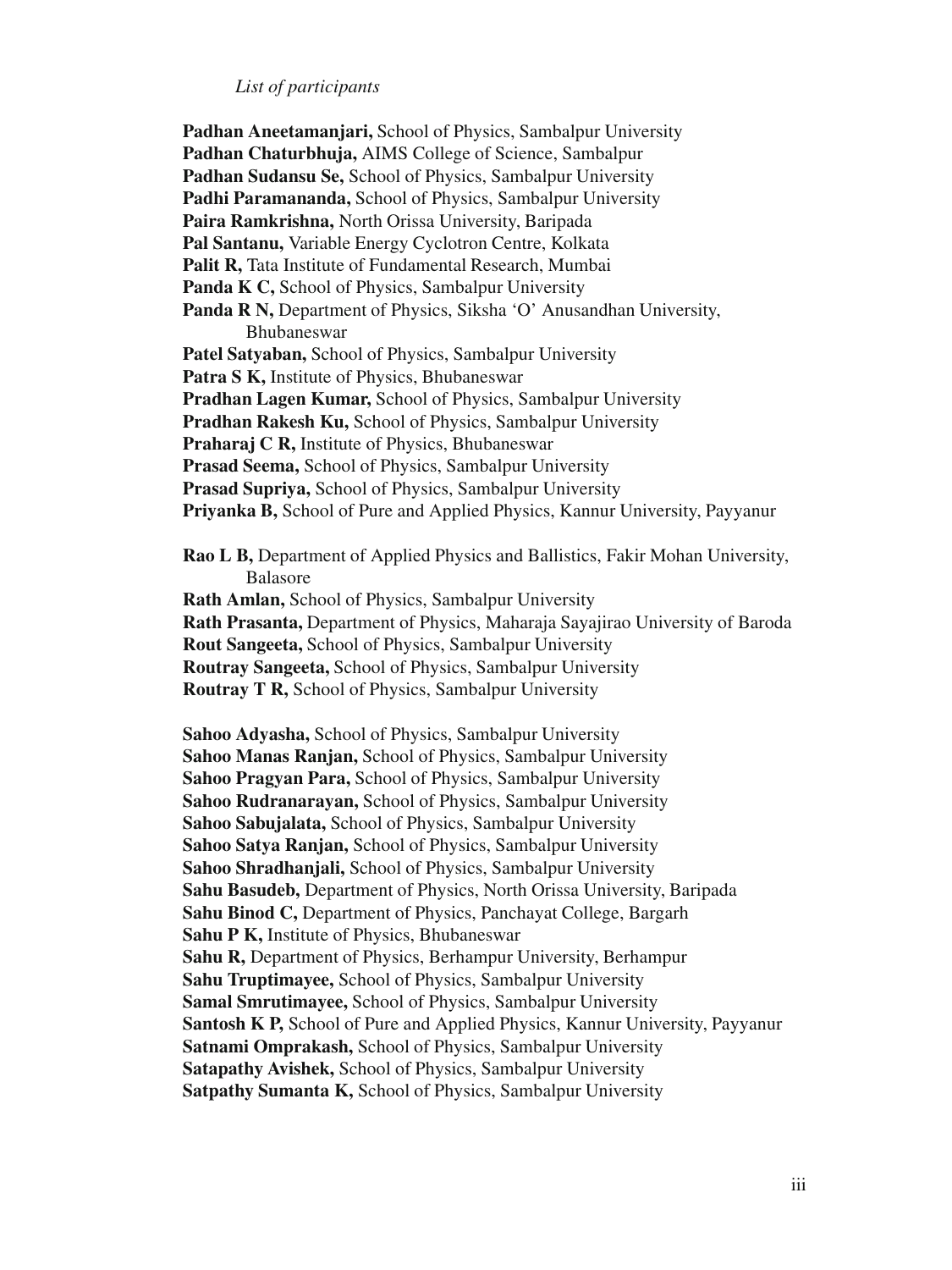## *List of participants*

**Padhan Aneetamanjari,** School of Physics, Sambalpur University **Padhan Chaturbhuja,** AIMS College of Science, Sambalpur **Padhan Sudansu Se,** School of Physics, Sambalpur University **Padhi Paramananda,** School of Physics, Sambalpur University **Paira Ramkrishna,** North Orissa University, Baripada **Pal Santanu,** Variable Energy Cyclotron Centre, Kolkata **Palit R,** Tata Institute of Fundamental Research, Mumbai **Panda K C,** School of Physics, Sambalpur University Panda R N, Department of Physics, Siksha 'O' Anusandhan University, Bhubaneswar **Patel Satyaban,** School of Physics, Sambalpur University **Patra S K,** Institute of Physics, Bhubaneswar **Pradhan Lagen Kumar,** School of Physics, Sambalpur University **Pradhan Rakesh Ku,** School of Physics, Sambalpur University **Praharaj C R,** Institute of Physics, Bhubaneswar **Prasad Seema,** School of Physics, Sambalpur University **Prasad Supriya,** School of Physics, Sambalpur University **Priyanka B,** School of Pure and Applied Physics, Kannur University, Payyanur

**Rao L B,** Department of Applied Physics and Ballistics, Fakir Mohan University, Balasore

**Rath Amlan,** School of Physics, Sambalpur University **Rath Prasanta,** Department of Physics, Maharaja Sayajirao University of Baroda **Rout Sangeeta,** School of Physics, Sambalpur University **Routray Sangeeta,** School of Physics, Sambalpur University **Routray T R,** School of Physics, Sambalpur University

**Sahoo Adyasha,** School of Physics, Sambalpur University **Sahoo Manas Ranjan,** School of Physics, Sambalpur University **Sahoo Pragyan Para,** School of Physics, Sambalpur University **Sahoo Rudranarayan,** School of Physics, Sambalpur University **Sahoo Sabujalata,** School of Physics, Sambalpur University **Sahoo Satya Ranjan,** School of Physics, Sambalpur University **Sahoo Shradhanjali,** School of Physics, Sambalpur University **Sahu Basudeb,** Department of Physics, North Orissa University, Baripada **Sahu Binod C,** Department of Physics, Panchayat College, Bargarh **Sahu P K,** Institute of Physics, Bhubaneswar **Sahu R,** Department of Physics, Berhampur University, Berhampur **Sahu Truptimayee,** School of Physics, Sambalpur University **Samal Smrutimayee,** School of Physics, Sambalpur University **Santosh K P,** School of Pure and Applied Physics, Kannur University, Payyanur **Satnami Omprakash,** School of Physics, Sambalpur University **Satapathy Avishek,** School of Physics, Sambalpur University **Satpathy Sumanta K,** School of Physics, Sambalpur University